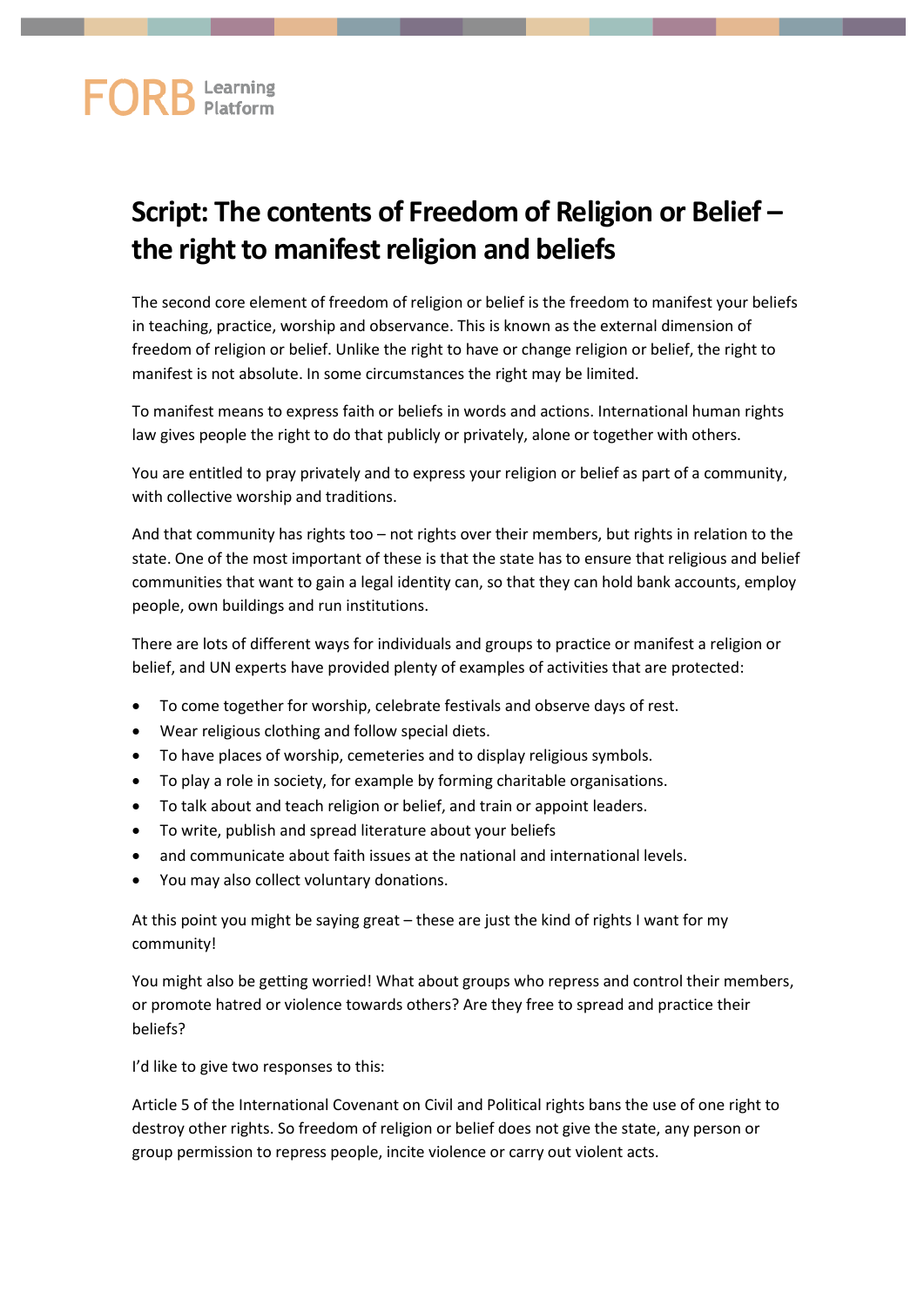## **FORB** Learning

## **Script: The contents of Freedom of Religion or Belief – the right to manifest religion and beliefs**

The second core element of freedom of religion or belief is the freedom to manifest your beliefs in teaching, practice, worship and observance. This is known as the external dimension of freedom of religion or belief. Unlike the right to have or change religion or belief, the right to manifest is not absolute. In some circumstances the right may be limited.

To manifest means to express faith or beliefs in words and actions. International human rights law gives people the right to do that publicly or privately, alone or together with others.

You are entitled to pray privately and to express your religion or belief as part of a community, with collective worship and traditions.

And that community has rights too – not rights over their members, but rights in relation to the state. One of the most important of these is that the state has to ensure that religious and belief communities that want to gain a legal identity can, so that they can hold bank accounts, employ people, own buildings and run institutions.

There are lots of different ways for individuals and groups to practice or manifest a religion or belief, and UN experts have provided plenty of examples of activities that are protected:

- To come together for worship, celebrate festivals and observe days of rest.
- Wear religious clothing and follow special diets.
- To have places of worship, cemeteries and to display religious symbols.
- To play a role in society, for example by forming charitable organisations.
- To talk about and teach religion or belief, and train or appoint leaders.
- To write, publish and spread literature about your beliefs
- and communicate about faith issues at the national and international levels.
- You may also collect voluntary donations.

At this point you might be saying great – these are just the kind of rights I want for my community!

You might also be getting worried! What about groups who repress and control their members, or promote hatred or violence towards others? Are they free to spread and practice their beliefs?

I'd like to give two responses to this:

Article 5 of the International Covenant on Civil and Political rights bans the use of one right to destroy other rights. So freedom of religion or belief does not give the state, any person or group permission to repress people, incite violence or carry out violent acts.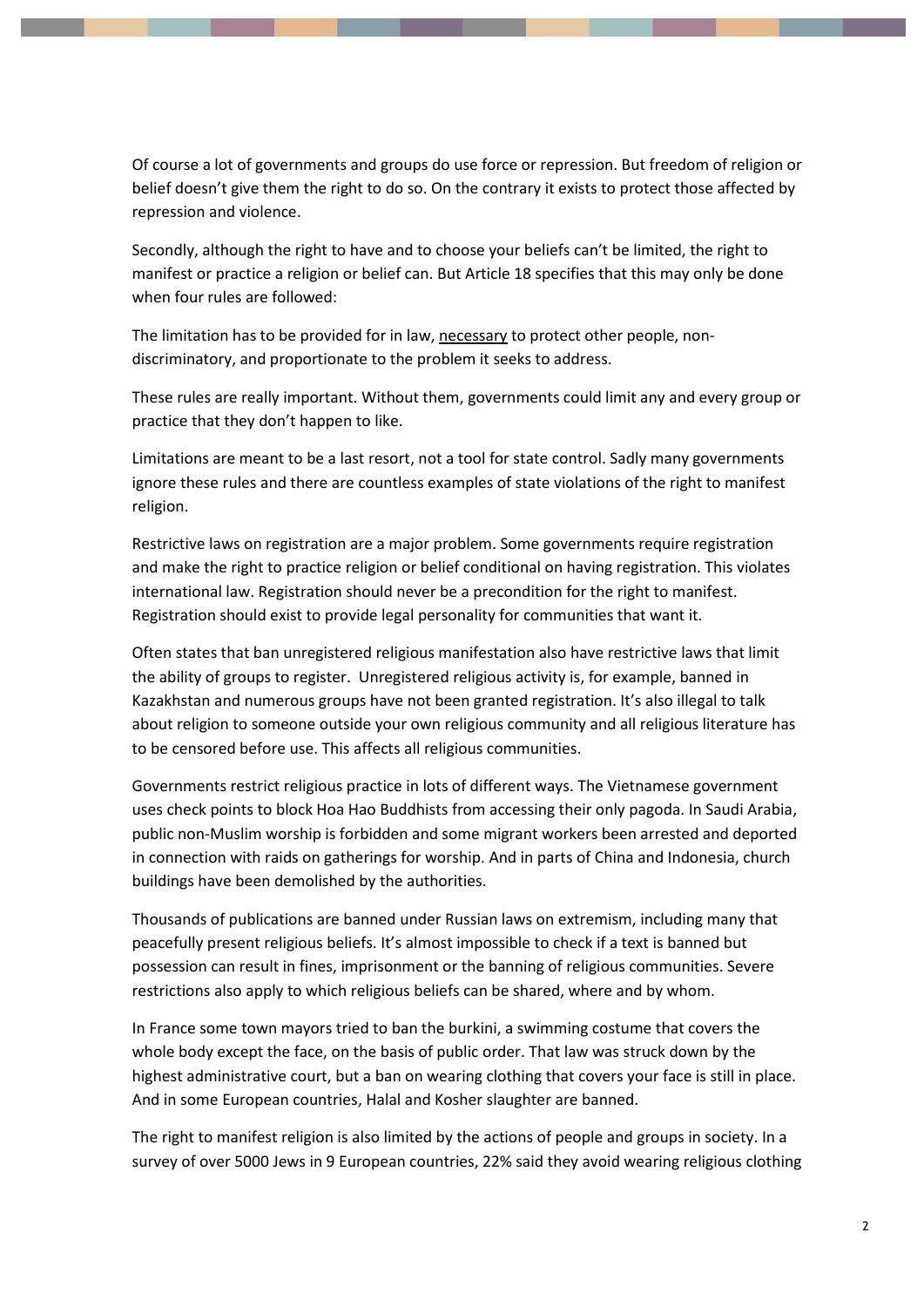Of course a lot of governments and groups do use force or repression. But freedom of religion or belief doesn't give them the right to do so. On the contrary it exists to protect those affected by repression and violence.

Secondly, although the right to have and to choose your beliefs can't be limited, the right to manifest or practice a religion or belief can. But Article 18 specifies that this may only be done when four rules are followed:

The limitation has to be provided for in law, necessary to protect other people, nondiscriminatory, and proportionate to the problem it seeks to address.

These rules are really important. Without them, governments could limit any and every group or practice that they don't happen to like.

Limitations are meant to be a last resort, not a tool for state control. Sadly many governments ignore these rules and there are countless examples of state violations of the right to manifest religion.

Restrictive laws on registration are a major problem. Some governments require registration and make the right to practice religion or belief conditional on having registration. This violates international law. Registration should never be a precondition for the right to manifest. Registration should exist to provide legal personality for communities that want it.

Often states that ban unregistered religious manifestation also have restrictive laws that limit the ability of groups to register. Unregistered religious activity is, for example, banned in Kazakhstan and numerous groups have not been granted registration. It's also illegal to talk about religion to someone outside your own religious community and all religious literature has to be censored before use. This affects all religious communities.

Governments restrict religious practice in lots of different ways. The Vietnamese government uses check points to block Hoa Hao Buddhists from accessing their only pagoda. In Saudi Arabia, public non-Muslim worship is forbidden and some migrant workers been arrested and deported in connection with raids on gatherings for worship. And in parts of China and Indonesia, church buildings have been demolished by the authorities.

Thousands of publications are banned under Russian laws on extremism, including many that peacefully present religious beliefs. It's almost impossible to check if a text is banned but possession can result in fines, imprisonment or the banning of religious communities. Severe restrictions also apply to which religious beliefs can be shared, where and by whom.

In France some town mayors tried to ban the burkini, a swimming costume that covers the whole body except the face, on the basis of public order. That law was struck down by the highest administrative court, but a ban on wearing clothing that covers your face is still in place. And in some European countries, Halal and Kosher slaughter are banned.

The right to manifest religion is also limited by the actions of people and groups in society. In a survey of over 5000 Jews in 9 European countries, 22% said they avoid wearing religious clothing